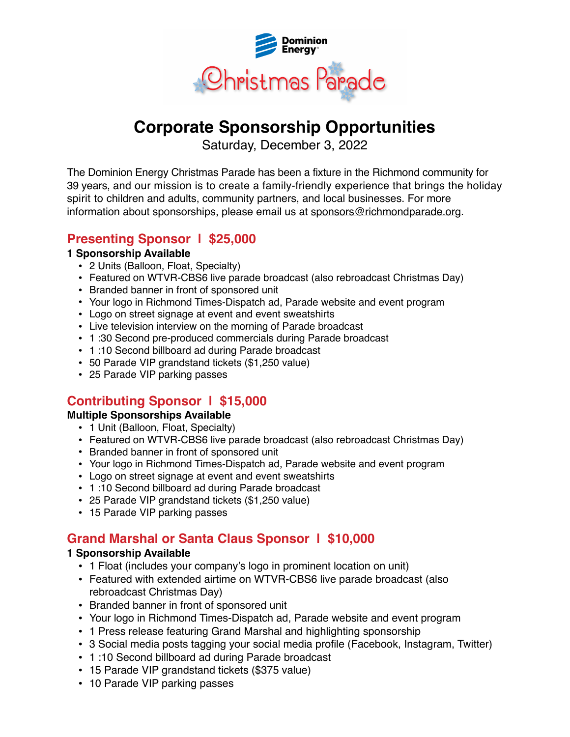

# **Corporate Sponsorship Opportunities**

Saturday, December 3, 2022

The Dominion Energy Christmas Parade has been a fixture in the Richmond community for 39 years, and our mission is to create a family-friendly experience that brings the holiday spirit to children and adults, community partners, and local businesses. For more information about sponsorships, please email us at [sponsors@richmondparade.org.](mailto:sponsors@richmondparade.org?subject=) 

### **Presenting Sponsor | \$25,000**

#### **1 Sponsorship Available**

- 2 Units (Balloon, Float, Specialty)
- Featured on WTVR-CBS6 live parade broadcast (also rebroadcast Christmas Day)
- Branded banner in front of sponsored unit
- Your logo in Richmond Times-Dispatch ad, Parade website and event program
- Logo on street signage at event and event sweatshirts
- Live television interview on the morning of Parade broadcast
- 1 :30 Second pre-produced commercials during Parade broadcast
- 1 :10 Second billboard ad during Parade broadcast
- 50 Parade VIP grandstand tickets (\$1,250 value)
- 25 Parade VIP parking passes

## **Contributing Sponsor | \$15,000**

### **Multiple Sponsorships Available**

- 1 Unit (Balloon, Float, Specialty)
- Featured on WTVR-CBS6 live parade broadcast (also rebroadcast Christmas Day)
- Branded banner in front of sponsored unit
- Your logo in Richmond Times-Dispatch ad, Parade website and event program
- Logo on street signage at event and event sweatshirts
- 1 :10 Second billboard ad during Parade broadcast
- 25 Parade VIP grandstand tickets (\$1,250 value)
- 15 Parade VIP parking passes

## **Grand Marshal or Santa Claus Sponsor | \$10,000**

### **1 Sponsorship Available**

- 1 Float (includes your company's logo in prominent location on unit)
- Featured with extended airtime on WTVR-CBS6 live parade broadcast (also rebroadcast Christmas Day)
- Branded banner in front of sponsored unit
- Your logo in Richmond Times-Dispatch ad, Parade website and event program
- 1 Press release featuring Grand Marshal and highlighting sponsorship
- 3 Social media posts tagging your social media profile (Facebook, Instagram, Twitter)
- 1 :10 Second billboard ad during Parade broadcast
- 15 Parade VIP grandstand tickets (\$375 value)
- 10 Parade VIP parking passes